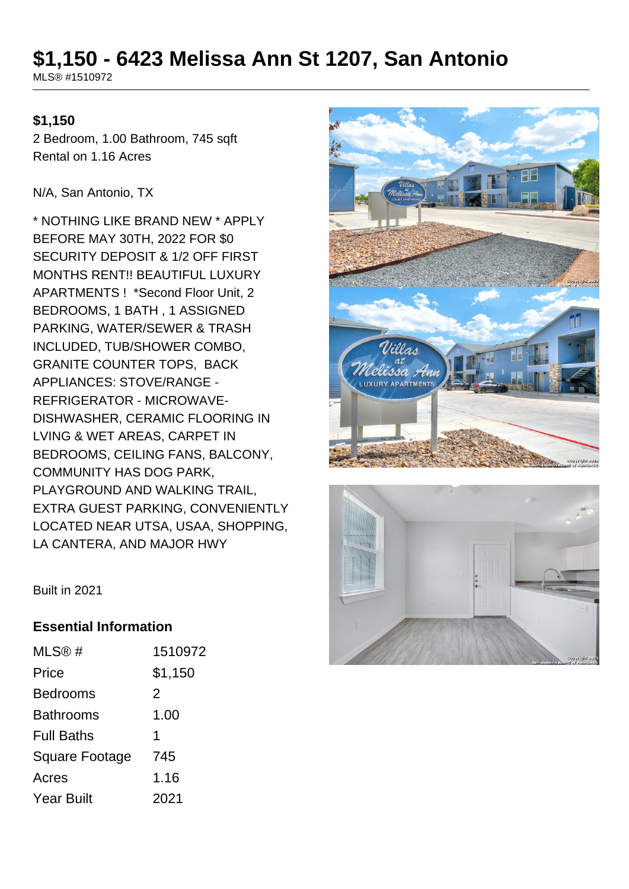# **\$1,150 - 6423 Melissa Ann St 1207, San Antonio**

MLS® #1510972

### **\$1,150**

2 Bedroom, 1.00 Bathroom, 745 sqft Rental on 1.16 Acres

N/A, San Antonio, TX

\* NOTHING LIKE BRAND NEW \* APPLY BEFORE MAY 30TH, 2022 FOR \$0 SECURITY DEPOSIT & 1/2 OFF FIRST MONTHS RENT!! BEAUTIFUL LUXURY APARTMENTS ! \*Second Floor Unit, 2 BEDROOMS, 1 BATH , 1 ASSIGNED PARKING, WATER/SEWER & TRASH INCLUDED, TUB/SHOWER COMBO, GRANITE COUNTER TOPS, BACK APPLIANCES: STOVE/RANGE - REFRIGERATOR - MICROWAVE-DISHWASHER, CERAMIC FLOORING IN LVING & WET AREAS, CARPET IN BEDROOMS, CEILING FANS, BALCONY, COMMUNITY HAS DOG PARK, PLAYGROUND AND WALKING TRAIL, EXTRA GUEST PARKING, CONVENIENTLY LOCATED NEAR UTSA, USAA, SHOPPING, LA CANTERA, AND MAJOR HWY





Built in 2021

#### **Essential Information**

| $MLS@$ #          | 1510972 |
|-------------------|---------|
| Price             | \$1,150 |
| Bedrooms          | 2       |
| Bathrooms         | 1.00    |
| <b>Full Baths</b> | 1       |
| Square Footage    | 745     |
| Acres             | 1.16    |
| Year Built        | 2021    |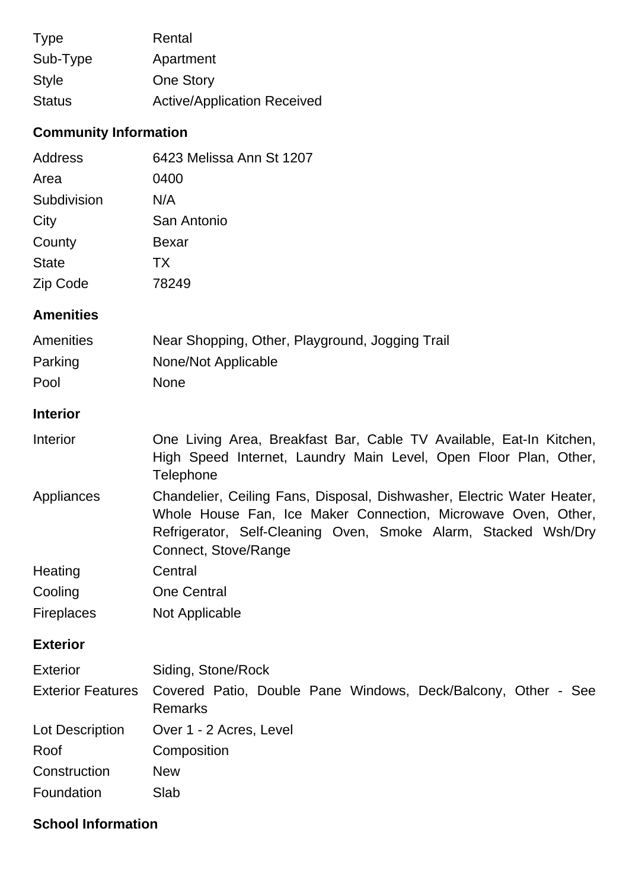| <b>Type</b>   | Rental                             |
|---------------|------------------------------------|
| Sub-Type      | Apartment                          |
| <b>Style</b>  | <b>One Story</b>                   |
| <b>Status</b> | <b>Active/Application Received</b> |

## **Community Information**

| <b>Address</b>           | 6423 Melissa Ann St 1207                                                                                                                                                                                                          |  |
|--------------------------|-----------------------------------------------------------------------------------------------------------------------------------------------------------------------------------------------------------------------------------|--|
| Area                     | 0400                                                                                                                                                                                                                              |  |
| Subdivision              | N/A                                                                                                                                                                                                                               |  |
| City                     | San Antonio                                                                                                                                                                                                                       |  |
| County                   | <b>Bexar</b>                                                                                                                                                                                                                      |  |
| <b>State</b>             | <b>TX</b>                                                                                                                                                                                                                         |  |
| Zip Code                 | 78249                                                                                                                                                                                                                             |  |
| <b>Amenities</b>         |                                                                                                                                                                                                                                   |  |
| <b>Amenities</b>         | Near Shopping, Other, Playground, Jogging Trail                                                                                                                                                                                   |  |
| Parking                  | None/Not Applicable                                                                                                                                                                                                               |  |
| Pool                     | <b>None</b>                                                                                                                                                                                                                       |  |
| <b>Interior</b>          |                                                                                                                                                                                                                                   |  |
| Interior                 | One Living Area, Breakfast Bar, Cable TV Available, Eat-In Kitchen,<br>High Speed Internet, Laundry Main Level, Open Floor Plan, Other,<br>Telephone                                                                              |  |
| Appliances               | Chandelier, Ceiling Fans, Disposal, Dishwasher, Electric Water Heater,<br>Whole House Fan, Ice Maker Connection, Microwave Oven, Other,<br>Refrigerator, Self-Cleaning Oven, Smoke Alarm, Stacked Wsh/Dry<br>Connect, Stove/Range |  |
| Heating                  | Central                                                                                                                                                                                                                           |  |
| Cooling                  | <b>One Central</b>                                                                                                                                                                                                                |  |
| <b>Fireplaces</b>        | Not Applicable                                                                                                                                                                                                                    |  |
| <b>Exterior</b>          |                                                                                                                                                                                                                                   |  |
| <b>Exterior</b>          | Siding, Stone/Rock                                                                                                                                                                                                                |  |
| <b>Exterior Features</b> | Covered Patio, Double Pane Windows, Deck/Balcony, Other - See<br><b>Remarks</b>                                                                                                                                                   |  |
| Lot Description          | Over 1 - 2 Acres, Level                                                                                                                                                                                                           |  |
| Roof                     | Composition                                                                                                                                                                                                                       |  |
| Construction             | <b>New</b>                                                                                                                                                                                                                        |  |
| Foundation               | Slab                                                                                                                                                                                                                              |  |

### **School Information**